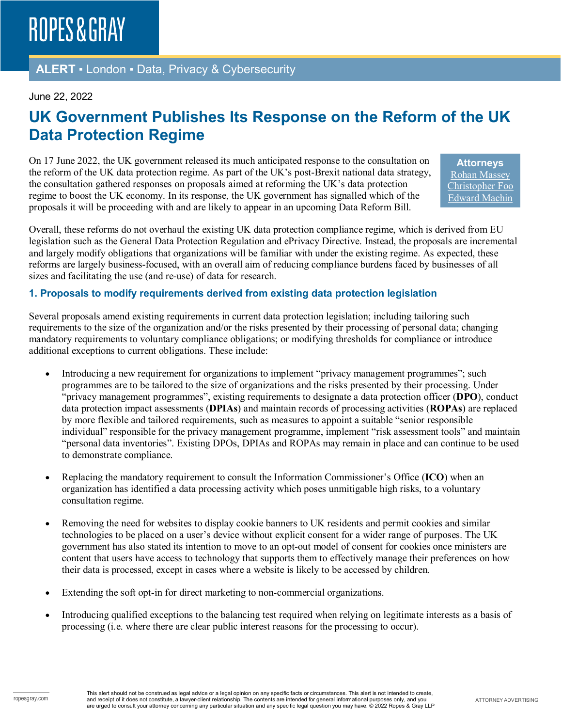### **ALERT** ▪ London ▪ Data, Privacy & Cybersecurity

#### June 22, 2022

# **UK Government Publishes Its Response on the Reform of the UK Data Protection Regime**

On 17 June 2022, the UK government released its much anticipated response to the consultation on the reform of the UK data protection regime. As part of the UK's post-Brexit national data strategy, the consultation gathered responses on proposals aimed at reforming the UK's data protection regime to boost the UK economy. In its response, the UK government has signalled which of the proposals it will be proceeding with and are likely to appear in an upcoming Data Reform Bill.

**Attorneys** [Rohan Massey](https://www.ropesgray.com/en/biographies/m/rohan-massey) [Christopher Foo](https://www.ropesgray.com/en/biographies/f/Christopher-Foo) [Edward Machin](https://www.ropesgray.com/en/biographies/m/edward-machin)

Overall, these reforms do not overhaul the existing UK data protection compliance regime, which is derived from EU legislation such as the General Data Protection Regulation and ePrivacy Directive. Instead, the proposals are incremental and largely modify obligations that organizations will be familiar with under the existing regime. As expected, these reforms are largely business-focused, with an overall aim of reducing compliance burdens faced by businesses of all sizes and facilitating the use (and re-use) of data for research.

#### **1. Proposals to modify requirements derived from existing data protection legislation**

Several proposals amend existing requirements in current data protection legislation; including tailoring such requirements to the size of the organization and/or the risks presented by their processing of personal data; changing mandatory requirements to voluntary compliance obligations; or modifying thresholds for compliance or introduce additional exceptions to current obligations. These include:

- Introducing a new requirement for organizations to implement "privacy management programmes"; such programmes are to be tailored to the size of organizations and the risks presented by their processing. Under "privacy management programmes", existing requirements to designate a data protection officer (**DPO**), conduct data protection impact assessments (**DPIAs**) and maintain records of processing activities (**ROPAs**) are replaced by more flexible and tailored requirements, such as measures to appoint a suitable "senior responsible individual" responsible for the privacy management programme, implement "risk assessment tools" and maintain "personal data inventories". Existing DPOs, DPIAs and ROPAs may remain in place and can continue to be used to demonstrate compliance.
- Replacing the mandatory requirement to consult the Information Commissioner's Office (**ICO**) when an organization has identified a data processing activity which poses unmitigable high risks, to a voluntary consultation regime.
- Removing the need for websites to display cookie banners to UK residents and permit cookies and similar technologies to be placed on a user's device without explicit consent for a wider range of purposes. The UK government has also stated its intention to move to an opt-out model of consent for cookies once ministers are content that users have access to technology that supports them to effectively manage their preferences on how their data is processed, except in cases where a website is likely to be accessed by children.
- Extending the soft opt-in for direct marketing to non-commercial organizations.
- Introducing qualified exceptions to the balancing test required when relying on legitimate interests as a basis of processing (i.e. where there are clear public interest reasons for the processing to occur).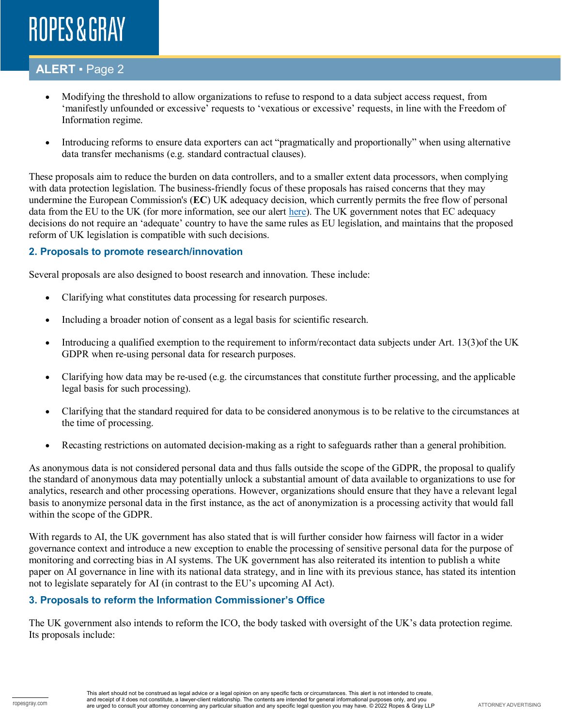# ROPES & GRAY

### **ALERT** ▪ Page 2

- Modifying the threshold to allow organizations to refuse to respond to a data subject access request, from 'manifestly unfounded or excessive' requests to 'vexatious or excessive' requests, in line with the Freedom of Information regime.
- Introducing reforms to ensure data exporters can act "pragmatically and proportionally" when using alternative data transfer mechanisms (e.g. standard contractual clauses).

These proposals aim to reduce the burden on data controllers, and to a smaller extent data processors, when complying with data protection legislation. The business-friendly focus of these proposals has raised concerns that they may undermine the European Commission's (**EC**) UK adequacy decision, which currently permits the free flow of personal data from the EU to the UK (for more information, see our alert [here\)](https://insights.ropesgray.com/post/102h1j1/brexit-is-no-barrier-for-data-flows-as-uk-is-eu-adequate-for-now). The UK government notes that EC adequacy decisions do not require an 'adequate' country to have the same rules as EU legislation, and maintains that the proposed reform of UK legislation is compatible with such decisions.

#### **2. Proposals to promote research/innovation**

Several proposals are also designed to boost research and innovation. These include:

- Clarifying what constitutes data processing for research purposes.
- Including a broader notion of consent as a legal basis for scientific research.
- Introducing a qualified exemption to the requirement to inform/recontact data subjects under Art. 13(3)of the UK GDPR when re-using personal data for research purposes.
- Clarifying how data may be re-used (e.g. the circumstances that constitute further processing, and the applicable legal basis for such processing).
- Clarifying that the standard required for data to be considered anonymous is to be relative to the circumstances at the time of processing.
- Recasting restrictions on automated decision-making as a right to safeguards rather than a general prohibition.

As anonymous data is not considered personal data and thus falls outside the scope of the GDPR, the proposal to qualify the standard of anonymous data may potentially unlock a substantial amount of data available to organizations to use for analytics, research and other processing operations. However, organizations should ensure that they have a relevant legal basis to anonymize personal data in the first instance, as the act of anonymization is a processing activity that would fall within the scope of the GDPR.

With regards to AI, the UK government has also stated that is will further consider how fairness will factor in a wider governance context and introduce a new exception to enable the processing of sensitive personal data for the purpose of monitoring and correcting bias in AI systems. The UK government has also reiterated its intention to publish a white paper on AI governance in line with its national data strategy, and in line with its previous stance, has stated its intention not to legislate separately for AI (in contrast to the EU's upcoming AI Act).

#### **3. Proposals to reform the Information Commissioner's Office**

The UK government also intends to reform the ICO, the body tasked with oversight of the UK's data protection regime. Its proposals include: